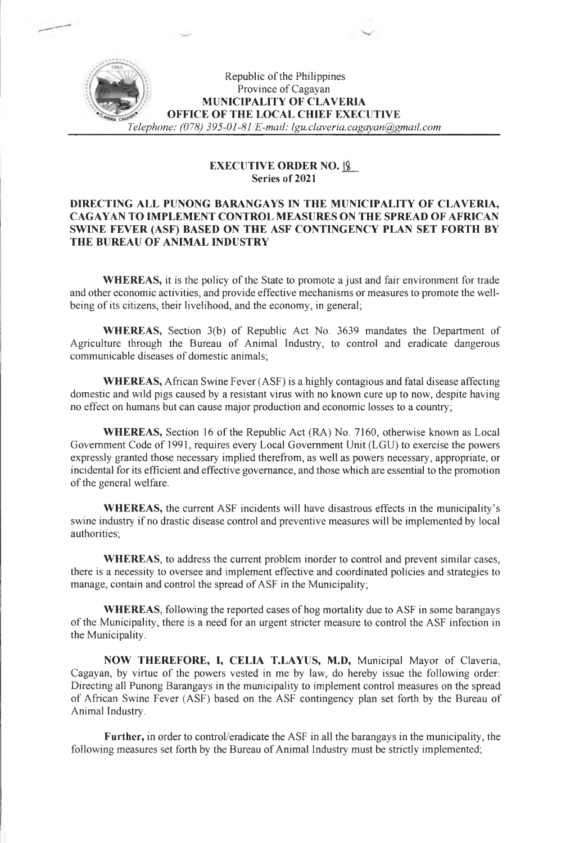# Republic of the Philippines Province of Cagayan **MUNICIPALITY OF CLAVERIA OFFICE OF THE LOCAL CHIEF EXECUTIVE** *Telephone: (078) 395-01-81/E-mail: [lgu.claveria.cagayan@gmail.com](mailto:lgu.claveria.cagayan@gmail.com)*

### **EXECUTIVE ORDER NO. |£\_ Series of 2021**

## **DIRECTING ALL PUNONG BARANGAYS IN THE MUNICIPALITY OF CLAVERIA, CAGAYAN TO IMPLEMENT CONTROL MEASURES ON THE SPREAD OF AFRICAN SWINE FEVER (ASF) BASED ON THE ASF CONTINGENCY PLAN SET FORTH BY THE BUREAU OF ANIMAL INDUSTRY**

**WHEREAS,** it is the policy of the State to promote a just and fair environment for trade and other economic activities, and provide effective mechanisms or measures to promote the wellbeing of its citizens, their livelihood, and the economy, in general;

**WHEREAS,** Section 3(b) of Republic Act No. 3639 mandates the Department of Agriculture through the Bureau of Animal Industry, to control and eradicate dangerous communicable diseases of domestic animals;

**WHEREAS,** African Swine Fever (ASF) is a highly contagious and fatal disease affecting domestic and wild pigs caused by a resistant virus with no known cure up to now, despite having no effect on humans but can cause major production and economic losses to a country;

**WHEREAS,** Section 16 of the Republic Act (RA) No. 7160, otherwise known as Local Government Code of 1991, requires every Local Government Unit (LGU) to exercise the powers expressly granted those necessary implied therefrom, as well as powers necessary, appropriate, or incidental for its efficient and effective governance, and those which are essential to the promotion of the general welfare.

**WHEREAS,** the current ASF incidents will have disastrous effects in the municipality's swine industry if no drastic disease control and preventive measures will be implemented by local authorities;

**WHEREAS,** to address the current problem inorder to control and prevent similar cases, there is a necessity to oversee and implement effective and coordinated policies and strategies to manage, contain and control the spread of ASF in the Municipality;

**WHEREAS,** following the reported cases of hog mortality due to ASF in some barangays of the Municipality, there is a need for an urgent stricter measure to control the ASF infection in the Municipality.

**NOW THEREFORE, I, CELIA T.LAYUS, M.D,** Municipal Mayor of Claveria, Cagayan, by virtue of the powers vested in me by law, do hereby issue the following order: Directing all Punong Barangays in the municipality to implement control measures on the spread of African Swine Fever (ASF) based on the ASF contingency plan set forth by the Bureau of Animal Industry.

**Further,** in order to control/eradicate the ASF in all the barangays in the municipality, the following measures set forth by the Bureau of Animal Industry must be strictly implemented;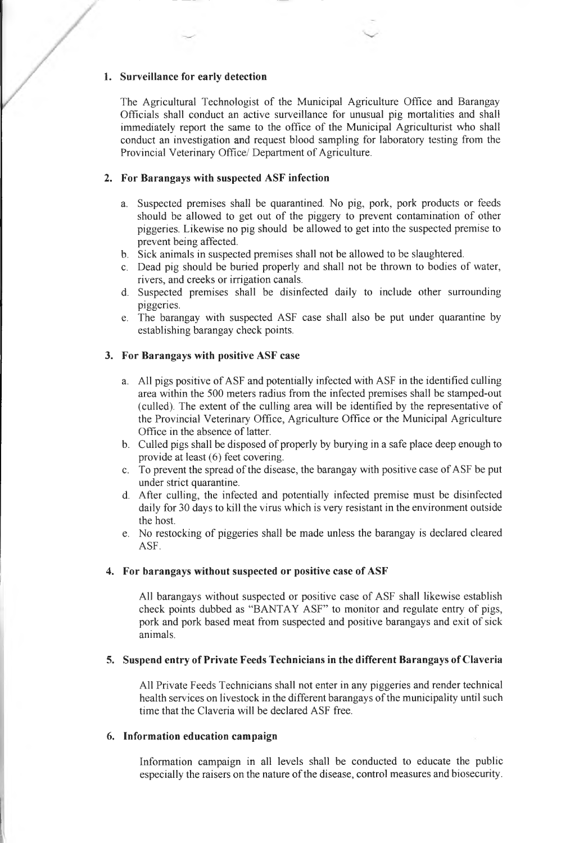#### **1. Surveillance for early detection**

The Agricultural Technologist of the Municipal Agriculture Office and Barangay Officials shall conduct an active surveillance for unusual pig mortalities and shall immediately report the same to the office of the Municipal Agriculturist who shall conduct an investigation and request blood sampling for laboratory testing from the Provincial Veterinary Office/ Department of Agriculture.

### **2. For Barangays with suspected ASF infection**

- a. Suspected premises shall be quarantined. No pig, pork, pork products or feeds should be allowed to get out of the piggery to prevent contamination of other piggeries. Likewise no pig should be allowed to get into the suspected premise to prevent being affected.
- b. Sick animals in suspected premises shall not be allowed to be slaughtered.
- c. Dead pig should be buried properly and shall not be thrown to bodies of water, rivers, and creeks or irrigation canals.
- d. Suspected premises shall be disinfected daily to include other surrounding piggeries.
- e. The barangay with suspected ASF case shall also be put under quarantine by establishing barangay check points.

### **3. For Barangays with positive ASF case**

- a. All pigs positive of ASF and potentially infected with ASF in the identified culling area within the 500 meters radius from the infected premises shall be stamped-out (culled). The extent of the culling area will be identified by the representative of the Provincial Veterinary Office, Agriculture Office or the Municipal Agriculture Office in the absence of latter.
- b. Culled pigs shall be disposed of properly by burying in a safe place deep enough to provide at least (6) feet covering.
- c. To prevent the spread of the disease, the barangay with positive case of ASF be put under strict quarantine.
- d. After culling, the infected and potentially infected premise must be disinfected daily for 30 days to kill the virus which is very resistant in the environment outside the host.
- e. No restocking of piggeries shall be made unless the barangay is declared cleared ASF.

#### **4. For barangays without suspected or positive case of ASF**

All barangays without suspected or positive case of ASF shall likewise establish check points dubbed as "BANTAY ASF" to monitor and regulate entry of pigs, pork and pork based meat from suspected and positive barangays and exit of sick animals.

### **5. Suspend entry ofPrivate Feeds Technicians in the different Barangays ofClaveria**

All Private Feeds Technicians shall not enter in any piggeries and render technical health services on livestock in the different barangays of the municipality until such time that the Claveria will be declared ASF free.

#### **6. Information education campaign**

Information campaign in all levels shall be conducted to educate the public especially the raisers on the nature of the disease, control measures and biosecurity.